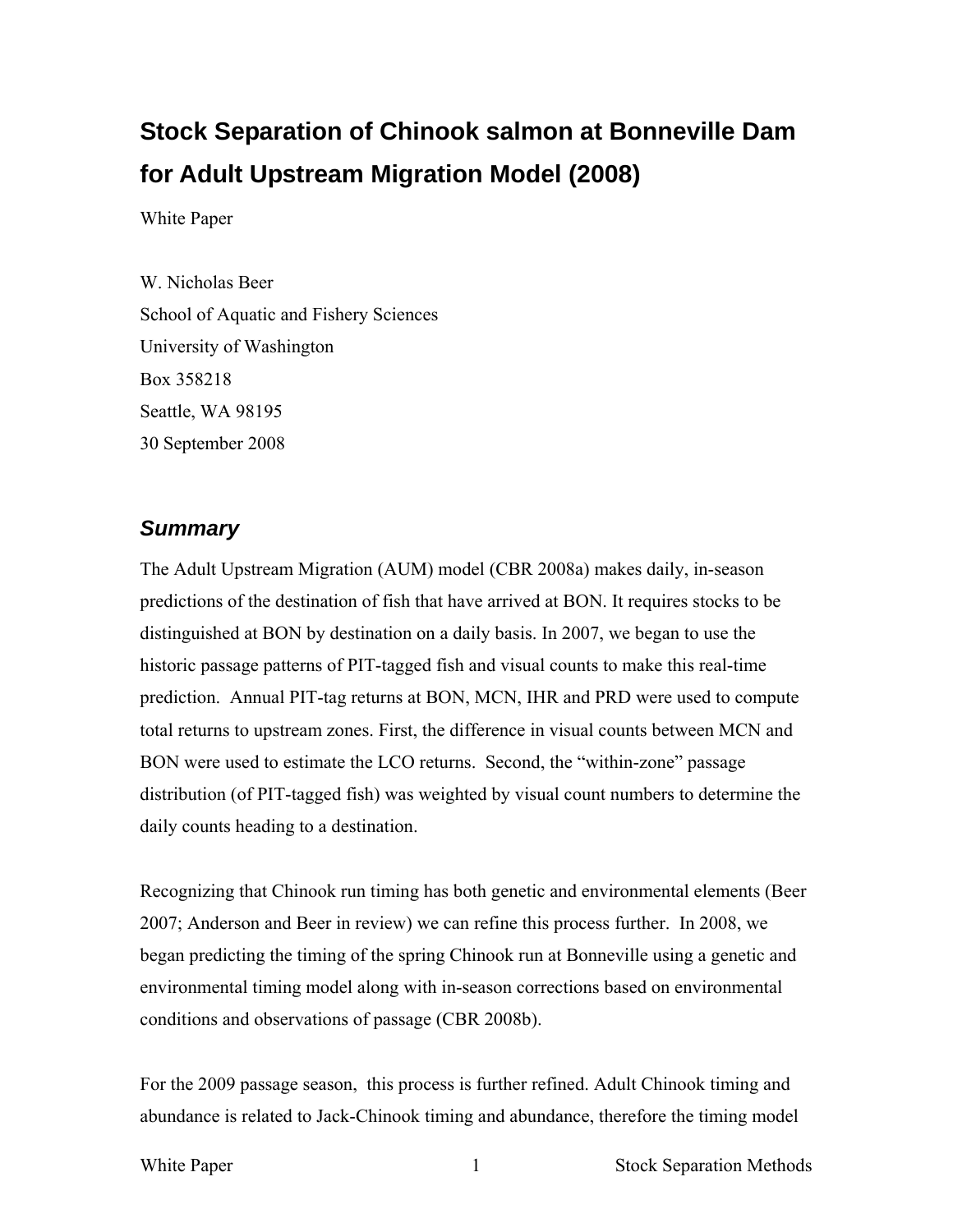# **Stock Separation of Chinook salmon at Bonneville Dam for Adult Upstream Migration Model (2008)**

White Paper

W. Nicholas Beer School of Aquatic and Fishery Sciences University of Washington Box 358218 Seattle, WA 98195 30 September 2008

### *Summary*

The Adult Upstream Migration (AUM) model (CBR 2008a) makes daily, in-season predictions of the destination of fish that have arrived at BON. It requires stocks to be distinguished at BON by destination on a daily basis. In 2007, we began to use the historic passage patterns of PIT-tagged fish and visual counts to make this real-time prediction. Annual PIT-tag returns at BON, MCN, IHR and PRD were used to compute total returns to upstream zones. First, the difference in visual counts between MCN and BON were used to estimate the LCO returns. Second, the "within-zone" passage distribution (of PIT-tagged fish) was weighted by visual count numbers to determine the daily counts heading to a destination.

Recognizing that Chinook run timing has both genetic and environmental elements (Beer 2007; Anderson and Beer in review) we can refine this process further. In 2008, we began predicting the timing of the spring Chinook run at Bonneville using a genetic and environmental timing model along with in-season corrections based on environmental conditions and observations of passage (CBR 2008b).

For the 2009 passage season, this process is further refined. Adult Chinook timing and abundance is related to Jack-Chinook timing and abundance, therefore the timing model

White Paper 1 Stock Separation Methods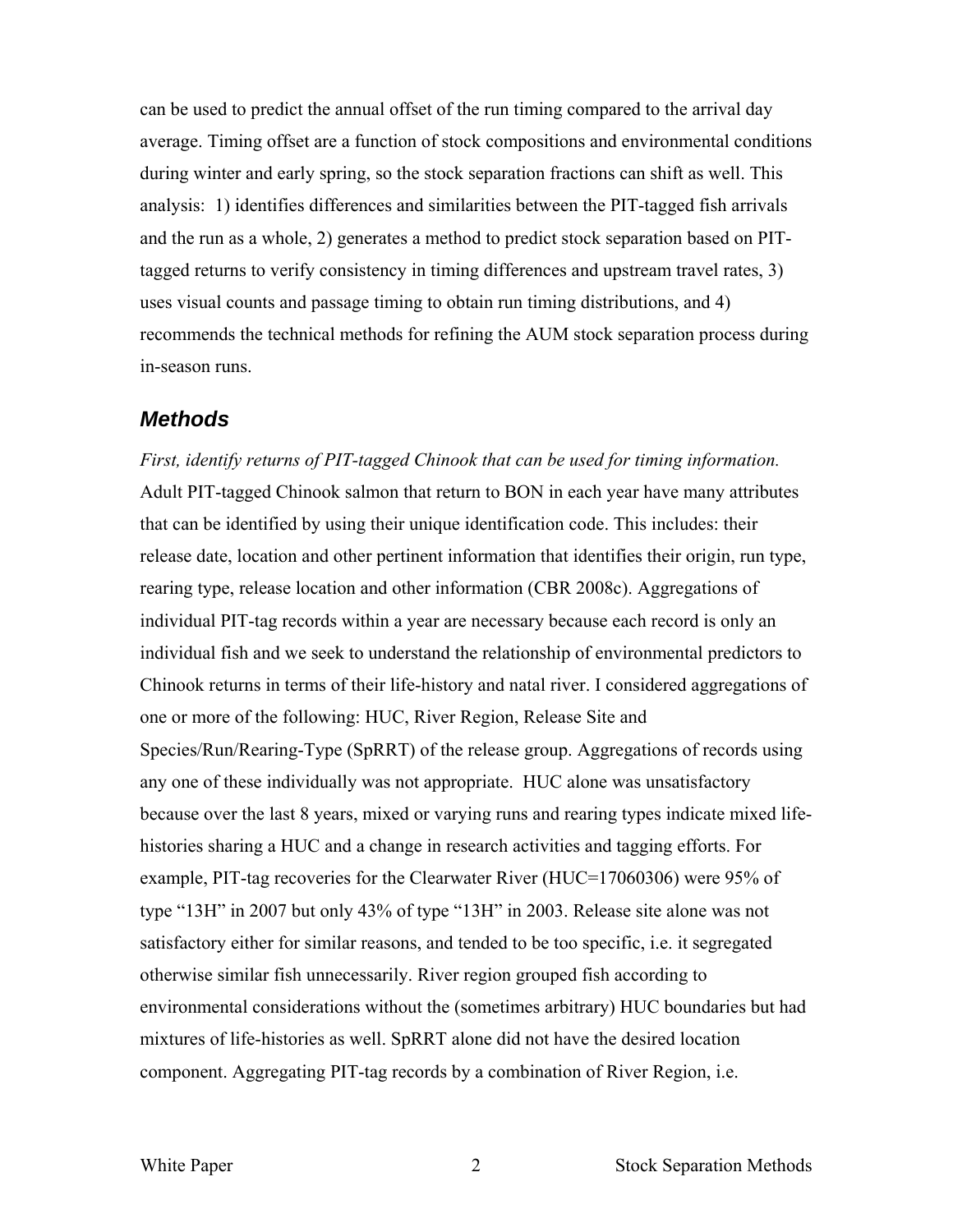can be used to predict the annual offset of the run timing compared to the arrival day average. Timing offset are a function of stock compositions and environmental conditions during winter and early spring, so the stock separation fractions can shift as well. This analysis: 1) identifies differences and similarities between the PIT-tagged fish arrivals and the run as a whole, 2) generates a method to predict stock separation based on PITtagged returns to verify consistency in timing differences and upstream travel rates, 3) uses visual counts and passage timing to obtain run timing distributions, and 4) recommends the technical methods for refining the AUM stock separation process during in-season runs.

### *Methods*

*First, identify returns of PIT-tagged Chinook that can be used for timing information.* Adult PIT-tagged Chinook salmon that return to BON in each year have many attributes that can be identified by using their unique identification code. This includes: their release date, location and other pertinent information that identifies their origin, run type, rearing type, release location and other information (CBR 2008c). Aggregations of individual PIT-tag records within a year are necessary because each record is only an individual fish and we seek to understand the relationship of environmental predictors to Chinook returns in terms of their life-history and natal river. I considered aggregations of one or more of the following: HUC, River Region, Release Site and Species/Run/Rearing-Type (SpRRT) of the release group. Aggregations of records using any one of these individually was not appropriate. HUC alone was unsatisfactory because over the last 8 years, mixed or varying runs and rearing types indicate mixed lifehistories sharing a HUC and a change in research activities and tagging efforts. For example, PIT-tag recoveries for the Clearwater River (HUC=17060306) were 95% of type "13H" in 2007 but only 43% of type "13H" in 2003. Release site alone was not satisfactory either for similar reasons, and tended to be too specific, i.e. it segregated otherwise similar fish unnecessarily. River region grouped fish according to environmental considerations without the (sometimes arbitrary) HUC boundaries but had mixtures of life-histories as well. SpRRT alone did not have the desired location component. Aggregating PIT-tag records by a combination of River Region, i.e.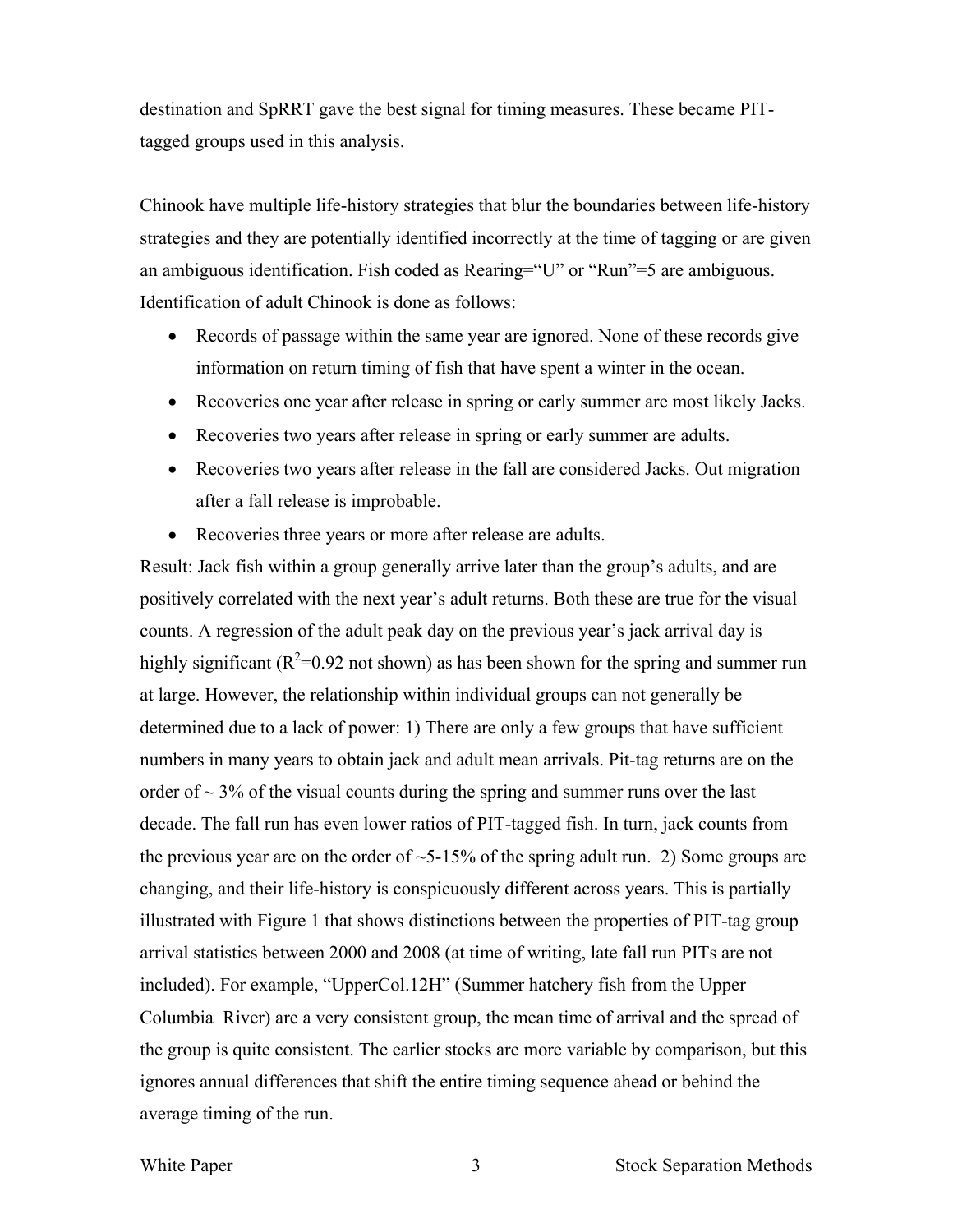destination and SpRRT gave the best signal for timing measures. These became PITtagged groups used in this analysis.

Chinook have multiple life-history strategies that blur the boundaries between life-history strategies and they are potentially identified incorrectly at the time of tagging or are given an ambiguous identification. Fish coded as Rearing="U" or "Run"=5 are ambiguous. Identification of adult Chinook is done as follows:

- Records of passage within the same year are ignored. None of these records give information on return timing of fish that have spent a winter in the ocean.
- Recoveries one year after release in spring or early summer are most likely Jacks.
- Recoveries two years after release in spring or early summer are adults.
- Recoveries two years after release in the fall are considered Jacks. Out migration after a fall release is improbable.
- Recoveries three years or more after release are adults.

Result: Jack fish within a group generally arrive later than the group's adults, and are positively correlated with the next year's adult returns. Both these are true for the visual counts. A regression of the adult peak day on the previous year's jack arrival day is highly significant ( $R^2$ =0.92 not shown) as has been shown for the spring and summer run at large. However, the relationship within individual groups can not generally be determined due to a lack of power: 1) There are only a few groups that have sufficient numbers in many years to obtain jack and adult mean arrivals. Pit-tag returns are on the order of  $\sim$  3% of the visual counts during the spring and summer runs over the last decade. The fall run has even lower ratios of PIT-tagged fish. In turn, jack counts from the previous year are on the order of  $\sim$  5-15% of the spring adult run. 2) Some groups are changing, and their life-history is conspicuously different across years. This is partially illustrated with Figure 1 that shows distinctions between the properties of PIT-tag group arrival statistics between 2000 and 2008 (at time of writing, late fall run PITs are not included). For example, "UpperCol.12H" (Summer hatchery fish from the Upper Columbia River) are a very consistent group, the mean time of arrival and the spread of the group is quite consistent. The earlier stocks are more variable by comparison, but this ignores annual differences that shift the entire timing sequence ahead or behind the average timing of the run.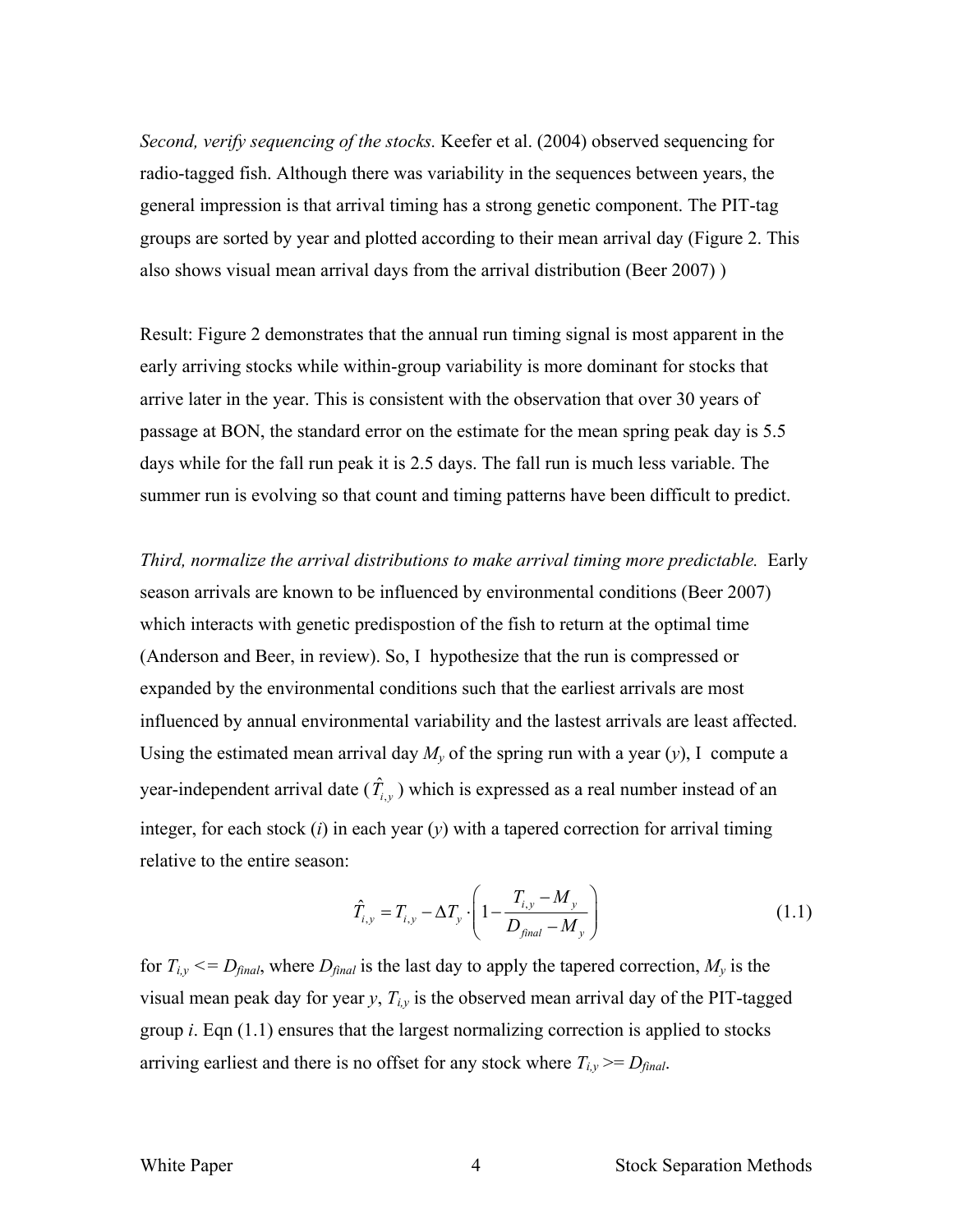*Second, verify sequencing of the stocks.* Keefer et al. (2004) observed sequencing for radio-tagged fish. Although there was variability in the sequences between years, the general impression is that arrival timing has a strong genetic component. The PIT-tag groups are sorted by year and plotted according to their mean arrival day (Figure 2. This also shows visual mean arrival days from the arrival distribution (Beer 2007) )

Result: Figure 2 demonstrates that the annual run timing signal is most apparent in the early arriving stocks while within-group variability is more dominant for stocks that arrive later in the year. This is consistent with the observation that over 30 years of passage at BON, the standard error on the estimate for the mean spring peak day is 5.5 days while for the fall run peak it is 2.5 days. The fall run is much less variable. The summer run is evolving so that count and timing patterns have been difficult to predict.

*Third, normalize the arrival distributions to make arrival timing more predictable.* Early season arrivals are known to be influenced by environmental conditions (Beer 2007) which interacts with genetic predispostion of the fish to return at the optimal time (Anderson and Beer, in review). So, I hypothesize that the run is compressed or expanded by the environmental conditions such that the earliest arrivals are most influenced by annual environmental variability and the lastest arrivals are least affected. Using the estimated mean arrival day  $M_{\nu}$  of the spring run with a year (*y*), I compute a year-independent arrival date  $(\hat{T}_{i,y})$  which is expressed as a real number instead of an integer, for each stock (*i*) in each year (*y*) with a tapered correction for arrival timing relative to the entire season:

$$
\hat{T}_{i,y} = T_{i,y} - \Delta T_y \cdot \left( 1 - \frac{T_{i,y} - M_y}{D_{\text{final}} - M_y} \right) \tag{1.1}
$$

for  $T_{i,y} \leq D_{final}$ , where  $D_{final}$  is the last day to apply the tapered correction,  $M_{y}$  is the visual mean peak day for year *y*, *Ti,y* is the observed mean arrival day of the PIT-tagged group *i*. Eqn (1.1) ensures that the largest normalizing correction is applied to stocks arriving earliest and there is no offset for any stock where  $T_{i,y} \geq D_{final}$ .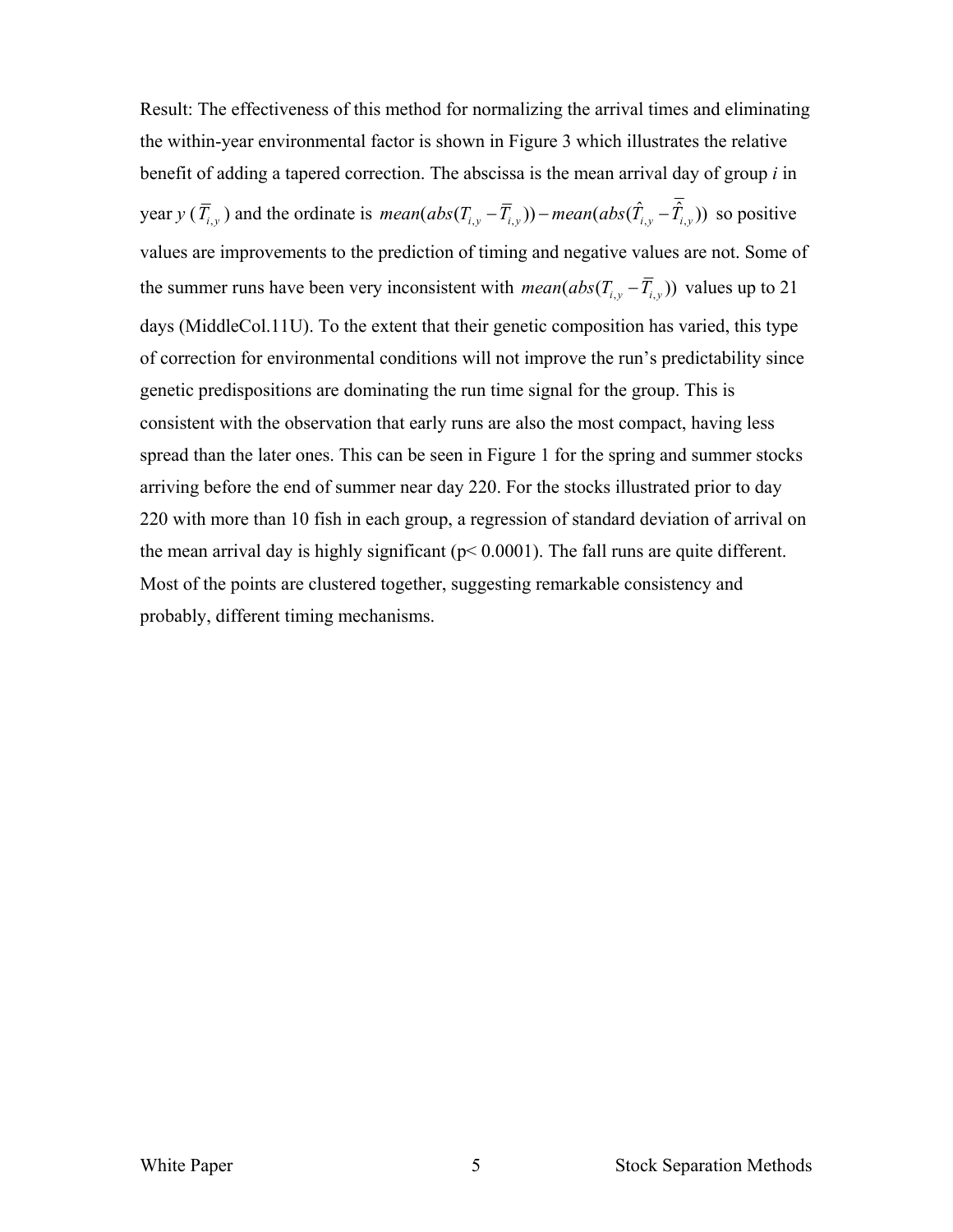Result: The effectiveness of this method for normalizing the arrival times and eliminating the within-year environmental factor is shown in Figure 3 which illustrates the relative benefit of adding a tapered correction. The abscissa is the mean arrival day of group *i* in *year y* ( $\overline{T}_{i,y}$ ) and the ordinate is *mean*( $abs(T_{i,y} - \overline{T}_{i,y})$ ) *mean*( $abs(\hat{T}_{i,y} - \overline{\hat{T}}_{i,y})$ ) so positive values are improvements to the prediction of timing and negative values are not. Some of the summer runs have been very inconsistent with  $mean(abs(T_{i,y} - \overline{T}_{i,y}))$  values up to 21 days (MiddleCol.11U). To the extent that their genetic composition has varied, this type of correction for environmental conditions will not improve the run's predictability since genetic predispositions are dominating the run time signal for the group. This is consistent with the observation that early runs are also the most compact, having less spread than the later ones. This can be seen in Figure 1 for the spring and summer stocks arriving before the end of summer near day 220. For the stocks illustrated prior to day 220 with more than 10 fish in each group, a regression of standard deviation of arrival on the mean arrival day is highly significant ( $p < 0.0001$ ). The fall runs are quite different. Most of the points are clustered together, suggesting remarkable consistency and probably, different timing mechanisms.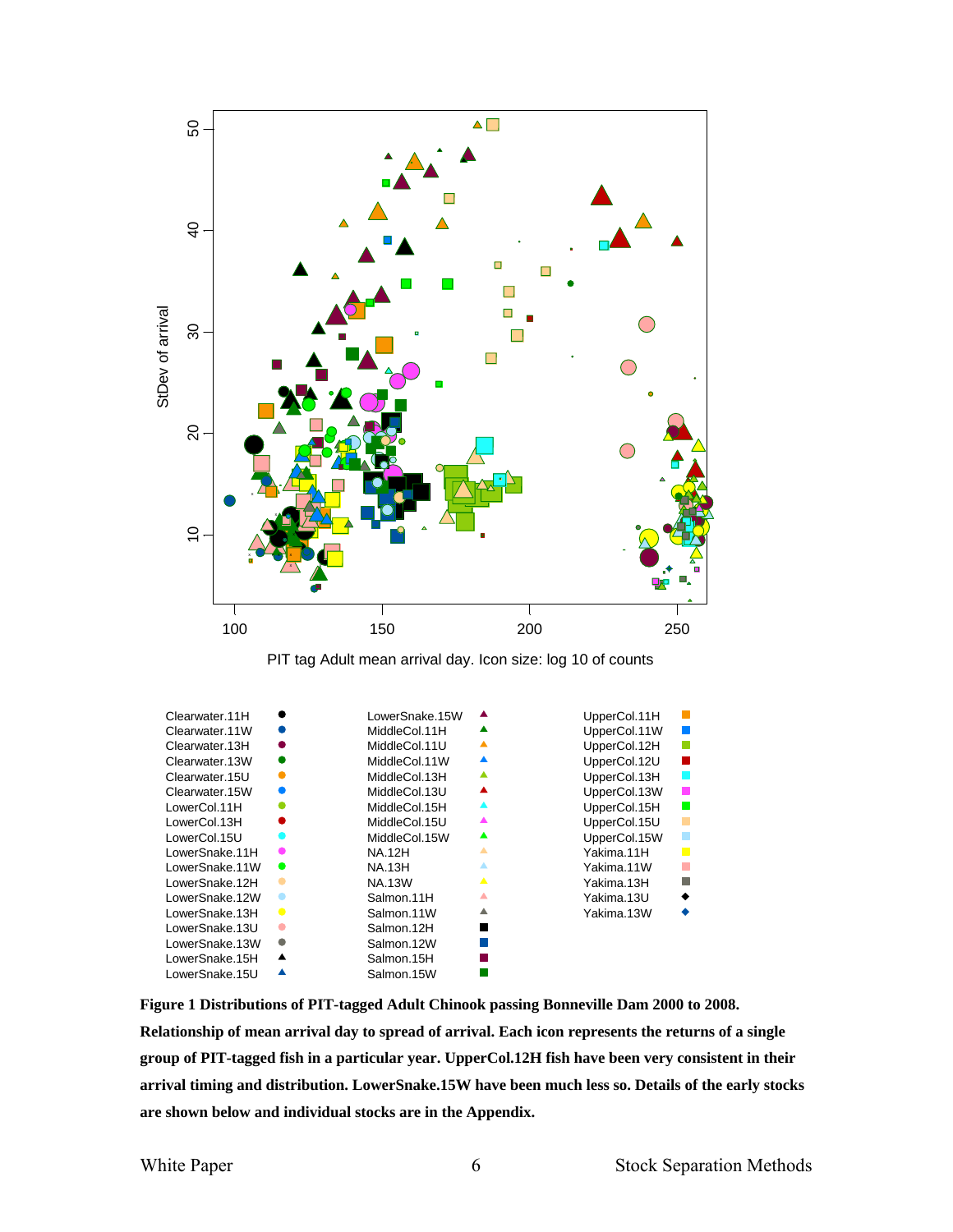

| LowerSnake.13H                                                                                                                                                                                                                                                                                                                                                                                               |           | Salmon.11W | ▲ | Yakima.13W |  |  |  |  |
|--------------------------------------------------------------------------------------------------------------------------------------------------------------------------------------------------------------------------------------------------------------------------------------------------------------------------------------------------------------------------------------------------------------|-----------|------------|---|------------|--|--|--|--|
| LowerSnake.13U                                                                                                                                                                                                                                                                                                                                                                                               |           | Salmon.12H | ■ |            |  |  |  |  |
| LowerSnake.13W                                                                                                                                                                                                                                                                                                                                                                                               | $\bullet$ | Salmon.12W | П |            |  |  |  |  |
| LowerSnake.15H                                                                                                                                                                                                                                                                                                                                                                                               | ▲         | Salmon.15H |   |            |  |  |  |  |
| LowerSnake.15U                                                                                                                                                                                                                                                                                                                                                                                               | ▲         | Salmon.15W |   |            |  |  |  |  |
| Figure 1 Distributions of PIT-tagged Adult Chinook passing Bonneville Dam 2000 to 2008.<br>Relationship of mean arrival day to spread of arrival. Each icon represents the returns of a single<br>group of PIT-tagged fish in a particular year. UpperCol.12H fish have been very consistent in their<br>arrival timing and distribution. LowerSnake.15W have been much less so. Details of the early stocks |           |            |   |            |  |  |  |  |
|                                                                                                                                                                                                                                                                                                                                                                                                              |           |            |   |            |  |  |  |  |

**are shown below and individual stocks are in the Appendix.**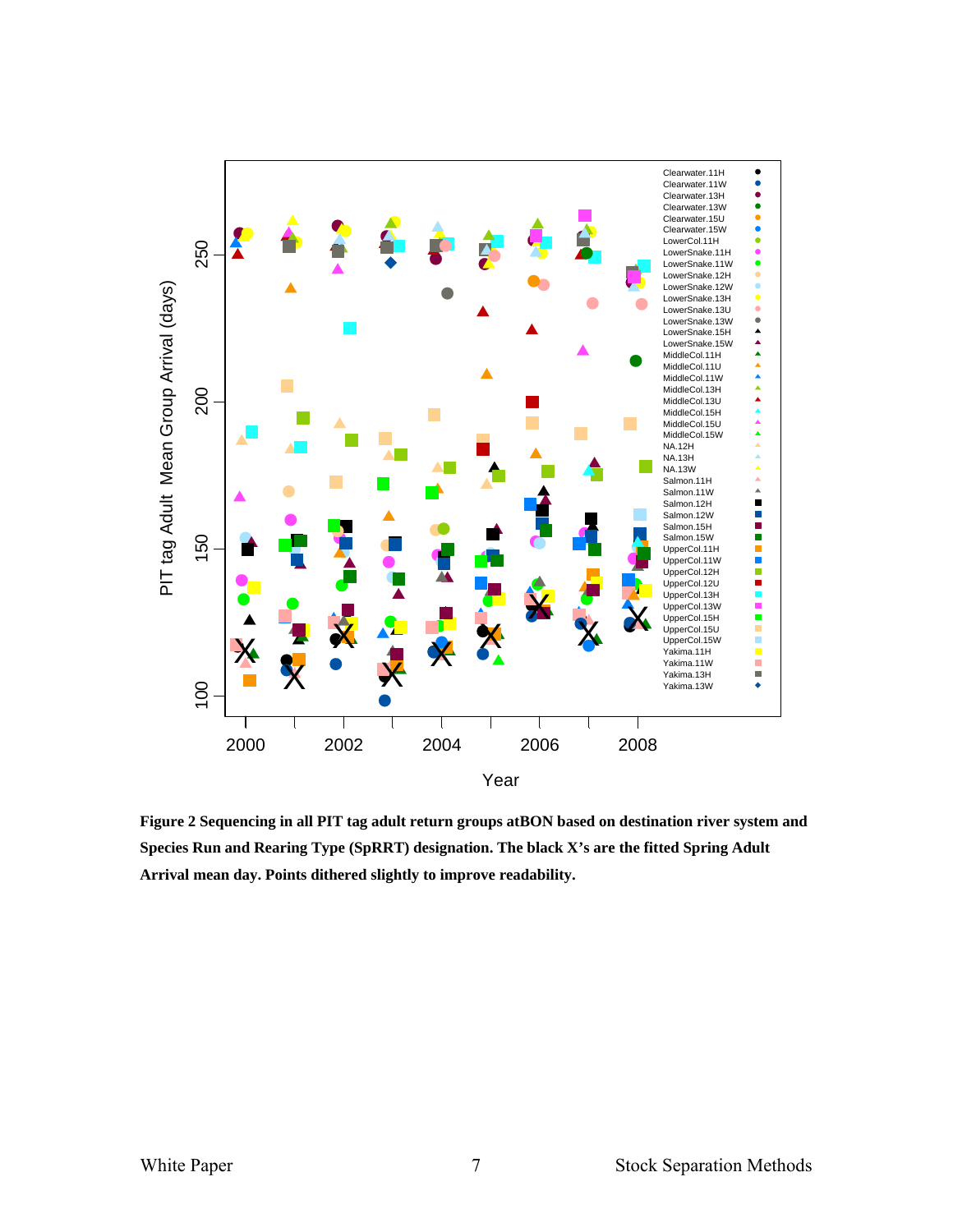

**Figure 2 Sequencing in all PIT tag adult return groups atBON based on destination river system and Species Run and Rearing Type (SpRRT) designation. The black X's are the fitted Spring Adult Arrival mean day. Points dithered slightly to improve readability.**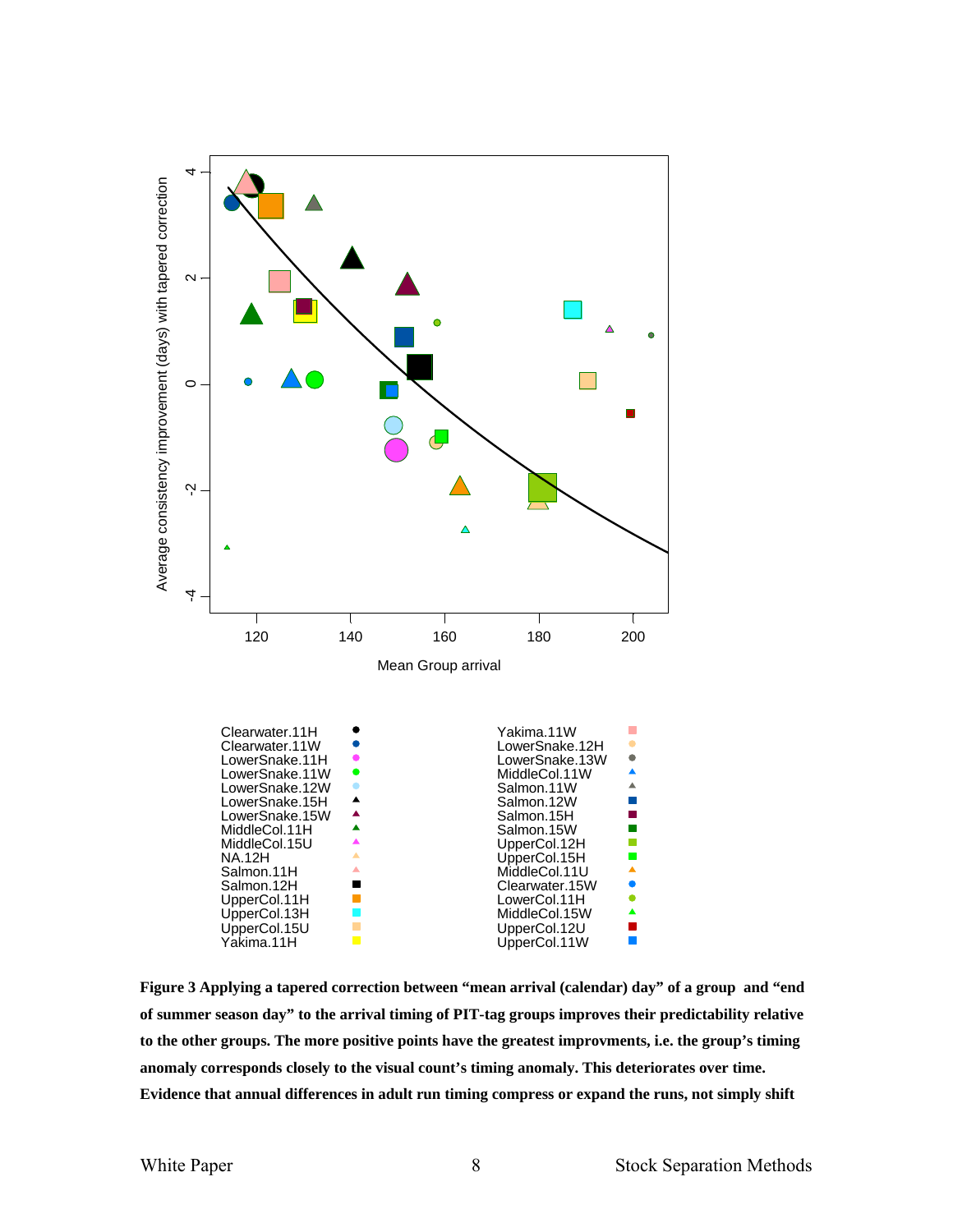

**Figure 3 Applying a tapered correction between "mean arrival (calendar) day" of a group and "end of summer season day" to the arrival timing of PIT-tag groups improves their predictability relative to the other groups. The more positive points have the greatest improvments, i.e. the group's timing anomaly corresponds closely to the visual count's timing anomaly. This deteriorates over time. Evidence that annual differences in adult run timing compress or expand the runs, not simply shift**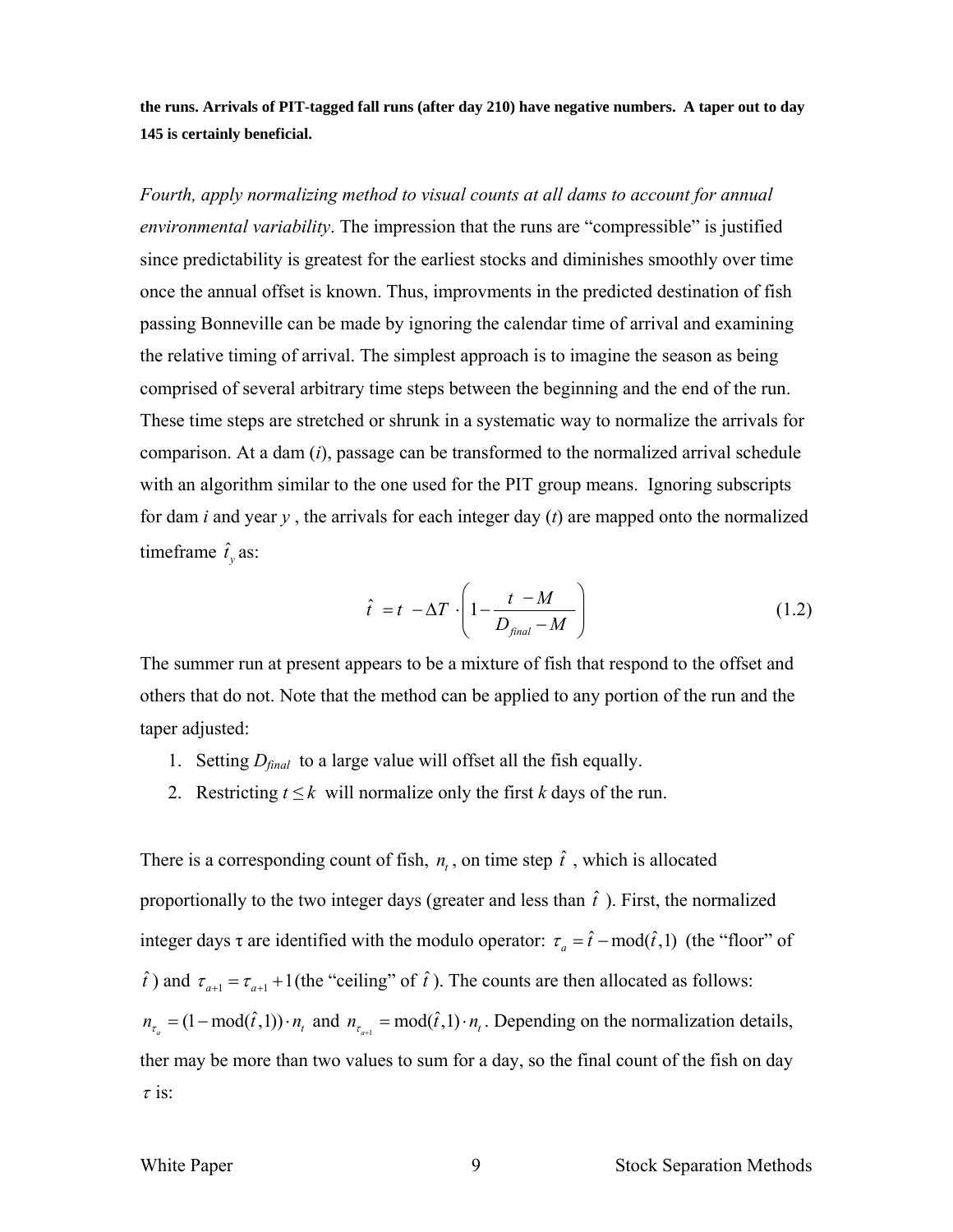**the runs. Arrivals of PIT-tagged fall runs (after day 210) have negative numbers. A taper out to day 145 is certainly beneficial.** 

*Fourth, apply normalizing method to visual counts at all dams to account for annual environmental variability*. The impression that the runs are "compressible" is justified since predictability is greatest for the earliest stocks and diminishes smoothly over time once the annual offset is known. Thus, improvments in the predicted destination of fish passing Bonneville can be made by ignoring the calendar time of arrival and examining the relative timing of arrival. The simplest approach is to imagine the season as being comprised of several arbitrary time steps between the beginning and the end of the run. These time steps are stretched or shrunk in a systematic way to normalize the arrivals for comparison. At a dam (*i*), passage can be transformed to the normalized arrival schedule with an algorithm similar to the one used for the PIT group means. Ignoring subscripts for dam *i* and year *y* , the arrivals for each integer day (*t*) are mapped onto the normalized timeframe  $\hat{t}_y$  as:

$$
\hat{t} = t - \Delta T \cdot \left( 1 - \frac{t - M}{D_{\text{final}} - M} \right) \tag{1.2}
$$

The summer run at present appears to be a mixture of fish that respond to the offset and others that do not. Note that the method can be applied to any portion of the run and the taper adjusted:

- 1. Setting *Dfinal* to a large value will offset all the fish equally.
- 2. Restricting  $t \leq k$  will normalize only the first *k* days of the run.

There is a corresponding count of fish,  $n_t$ , on time step  $\hat{t}$ , which is allocated proportionally to the two integer days (greater and less than  $\hat{t}$ ). First, the normalized integer days  $\tau$  are identified with the modulo operator:  $\tau_a = \hat{t} - \text{mod}(\hat{t}, 1)$  (the "floor" of  $\hat{t}$ ) and  $\tau_{a+1} = \tau_{a+1} + 1$  (the "ceiling" of  $\hat{t}$ ). The counts are then allocated as follows:  $n_{\tau_a} = (1 - \text{mod}(\hat{t}, 1)) \cdot n_t$  and  $n_{\tau_{a+1}} = \text{mod}(\hat{t}, 1) \cdot n_t$ . Depending on the normalization details, ther may be more than two values to sum for a day, so the final count of the fish on day  $\tau$  is: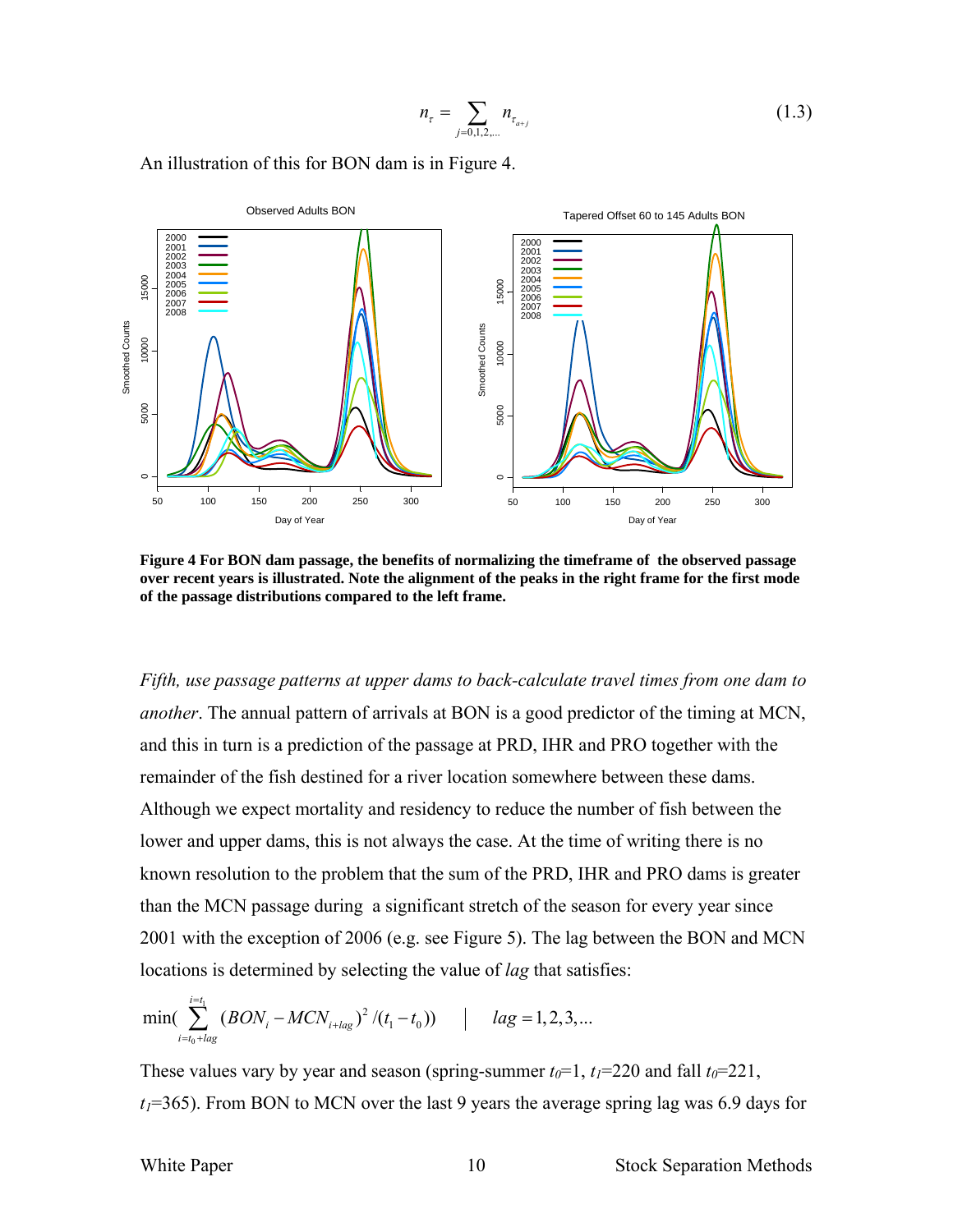$$
n_{\tau} = \sum_{j=0,1,2,\dots} n_{\tau_{a+j}} \tag{1.3}
$$

An illustration of this for BON dam is in Figure 4.



**Figure 4 For BON dam passage, the benefits of normalizing the timeframe of the observed passage over recent years is illustrated. Note the alignment of the peaks in the right frame for the first mode of the passage distributions compared to the left frame.** 

*Fifth, use passage patterns at upper dams to back-calculate travel times from one dam to another*. The annual pattern of arrivals at BON is a good predictor of the timing at MCN, and this in turn is a prediction of the passage at PRD, IHR and PRO together with the remainder of the fish destined for a river location somewhere between these dams. Although we expect mortality and residency to reduce the number of fish between the lower and upper dams, this is not always the case. At the time of writing there is no known resolution to the problem that the sum of the PRD, IHR and PRO dams is greater than the MCN passage during a significant stretch of the season for every year since 2001 with the exception of 2006 (e.g. see Figure 5). The lag between the BON and MCN locations is determined by selecting the value of *lag* that satisfies:

$$
\min(\sum_{i=t_0+lag}^{i=t_1} (BON_i - MCN_{i+lag})^2 / (t_1 - t_0)) \qquad | \qquad lag = 1, 2, 3, ...
$$

These values vary by year and season (spring-summer  $t_0=1$ ,  $t_1=220$  and fall  $t_0=221$ ,  $t_1$ =365). From BON to MCN over the last 9 years the average spring lag was 6.9 days for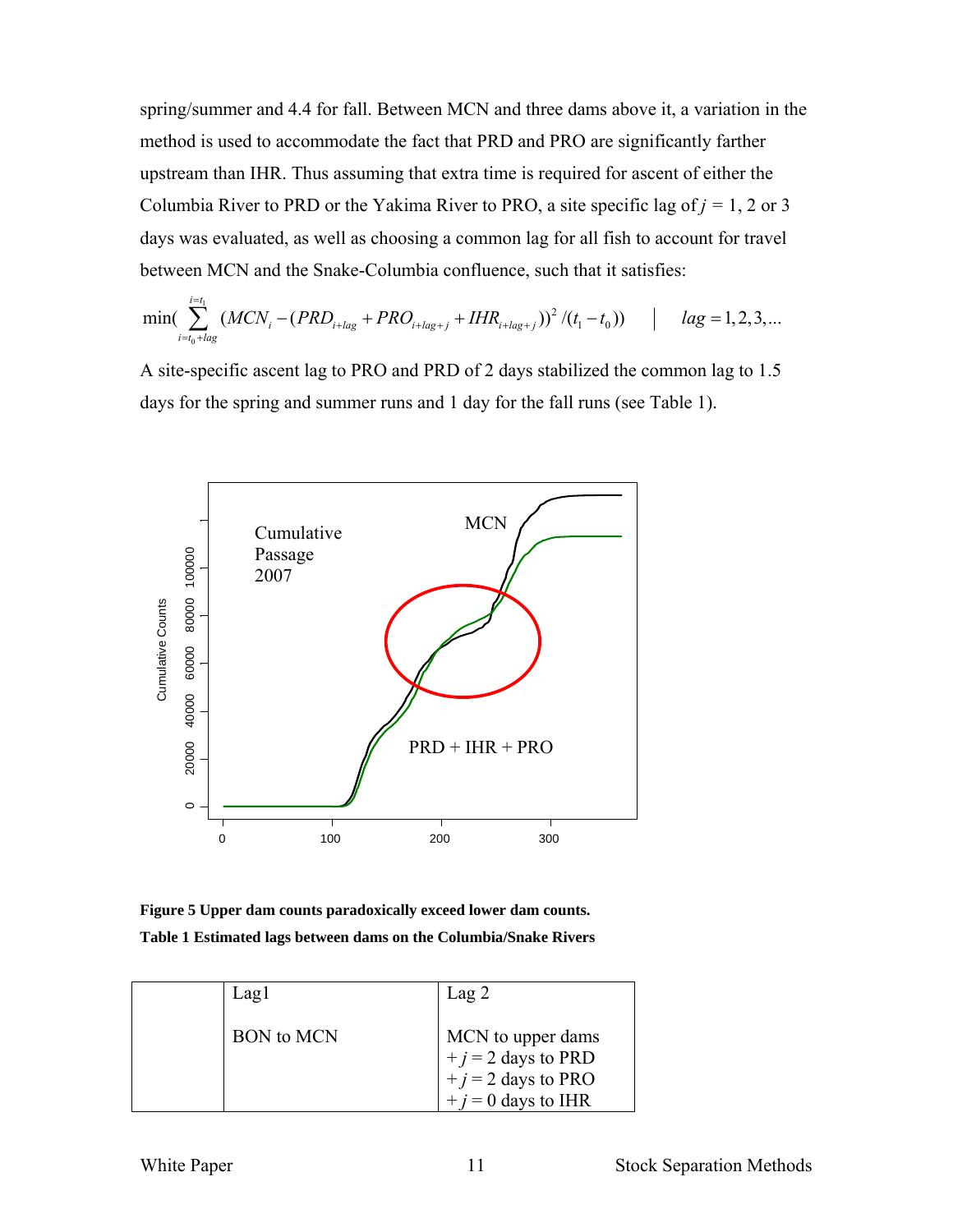spring/summer and 4.4 for fall. Between MCN and three dams above it, a variation in the method is used to accommodate the fact that PRD and PRO are significantly farther upstream than IHR. Thus assuming that extra time is required for ascent of either the Columbia River to PRD or the Yakima River to PRO, a site specific lag of  $j = 1, 2$  or 3 days was evaluated, as well as choosing a common lag for all fish to account for travel between MCN and the Snake-Columbia confluence, such that it satisfies:

$$
\min(\sum_{i=t_0+lag}^{i=t_1} (MCN_i - (PRD_{i+lag} + PRO_{i+lag+j} + IHR_{i+lag+j}))^2 / (t_1 - t_0)) \qquad | \qquad lag = 1, 2, 3, ...
$$

A site-specific ascent lag to PRO and PRD of 2 days stabilized the common lag to 1.5 days for the spring and summer runs and 1 day for the fall runs (see Table 1).



**Figure 5 Upper dam counts paradoxically exceed lower dam counts. Table 1 Estimated lags between dams on the Columbia/Snake Rivers** 

| Lagl              | Lag <sub>2</sub>                                                                           |
|-------------------|--------------------------------------------------------------------------------------------|
| <b>BON</b> to MCN | MCN to upper dams<br>$+j = 2$ days to PRD<br>$+j = 2$ days to PRO<br>$+ i = 0$ days to IHR |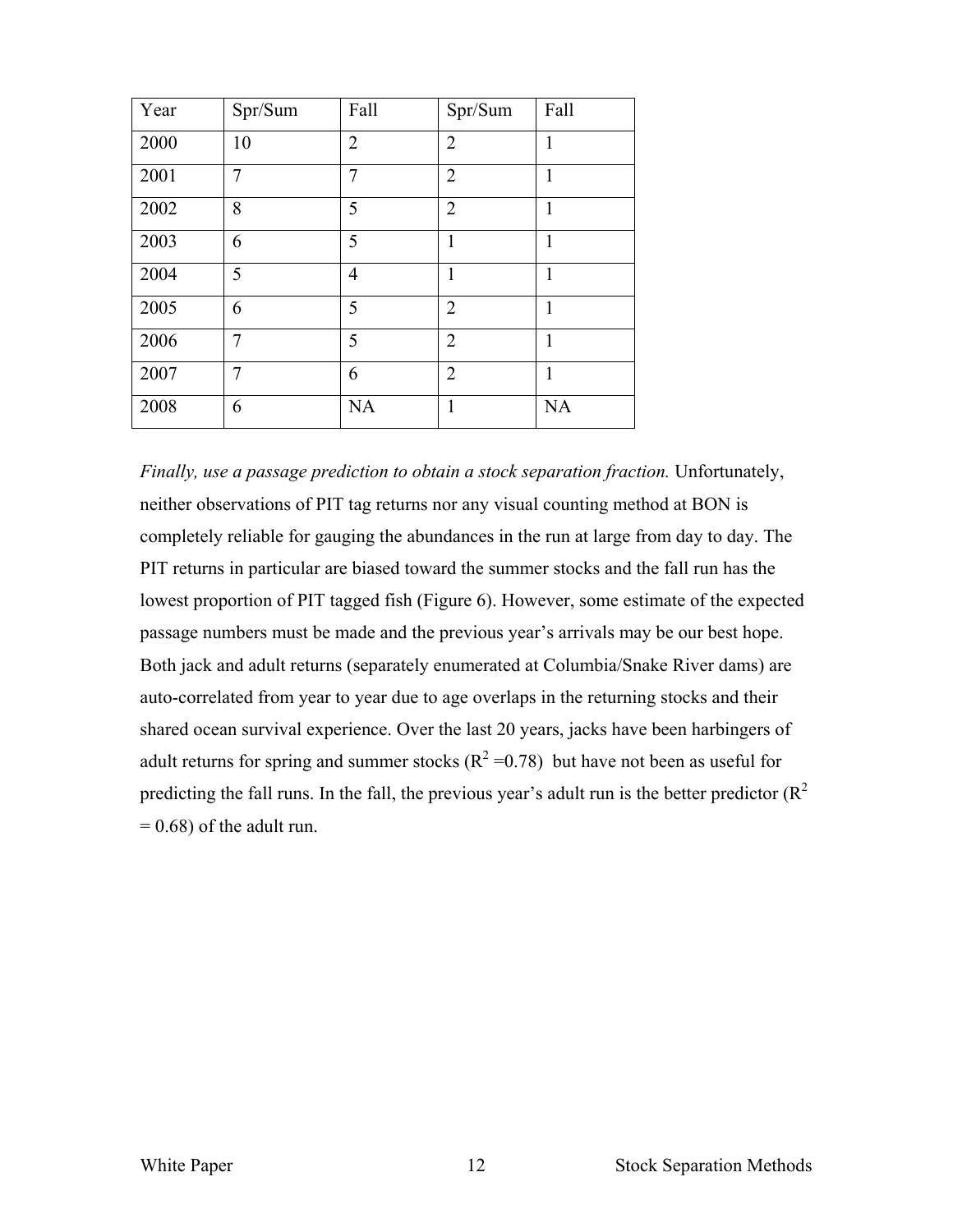| Year | Spr/Sum | Fall           | Spr/Sum        | Fall      |
|------|---------|----------------|----------------|-----------|
| 2000 | 10      | $\overline{2}$ | $\overline{2}$ | 1         |
| 2001 | 7       | $\overline{7}$ | $\overline{2}$ | 1         |
| 2002 | 8       | 5              | $\overline{2}$ | 1         |
| 2003 | 6       | 5              | 1              | 1         |
| 2004 | 5       | $\overline{4}$ | 1              | 1         |
| 2005 | 6       | 5              | $\overline{2}$ | 1         |
| 2006 | 7       | 5              | $\overline{2}$ | 1         |
| 2007 | 7       | 6              | $\overline{2}$ | 1         |
| 2008 | 6       | <b>NA</b>      | 1              | <b>NA</b> |

*Finally, use a passage prediction to obtain a stock separation fraction.* Unfortunately, neither observations of PIT tag returns nor any visual counting method at BON is completely reliable for gauging the abundances in the run at large from day to day. The PIT returns in particular are biased toward the summer stocks and the fall run has the lowest proportion of PIT tagged fish (Figure 6). However, some estimate of the expected passage numbers must be made and the previous year's arrivals may be our best hope. Both jack and adult returns (separately enumerated at Columbia/Snake River dams) are auto-correlated from year to year due to age overlaps in the returning stocks and their shared ocean survival experience. Over the last 20 years, jacks have been harbingers of adult returns for spring and summer stocks ( $R^2$  =0.78) but have not been as useful for predicting the fall runs. In the fall, the previous year's adult run is the better predictor  $(R^2)$  $= 0.68$ ) of the adult run.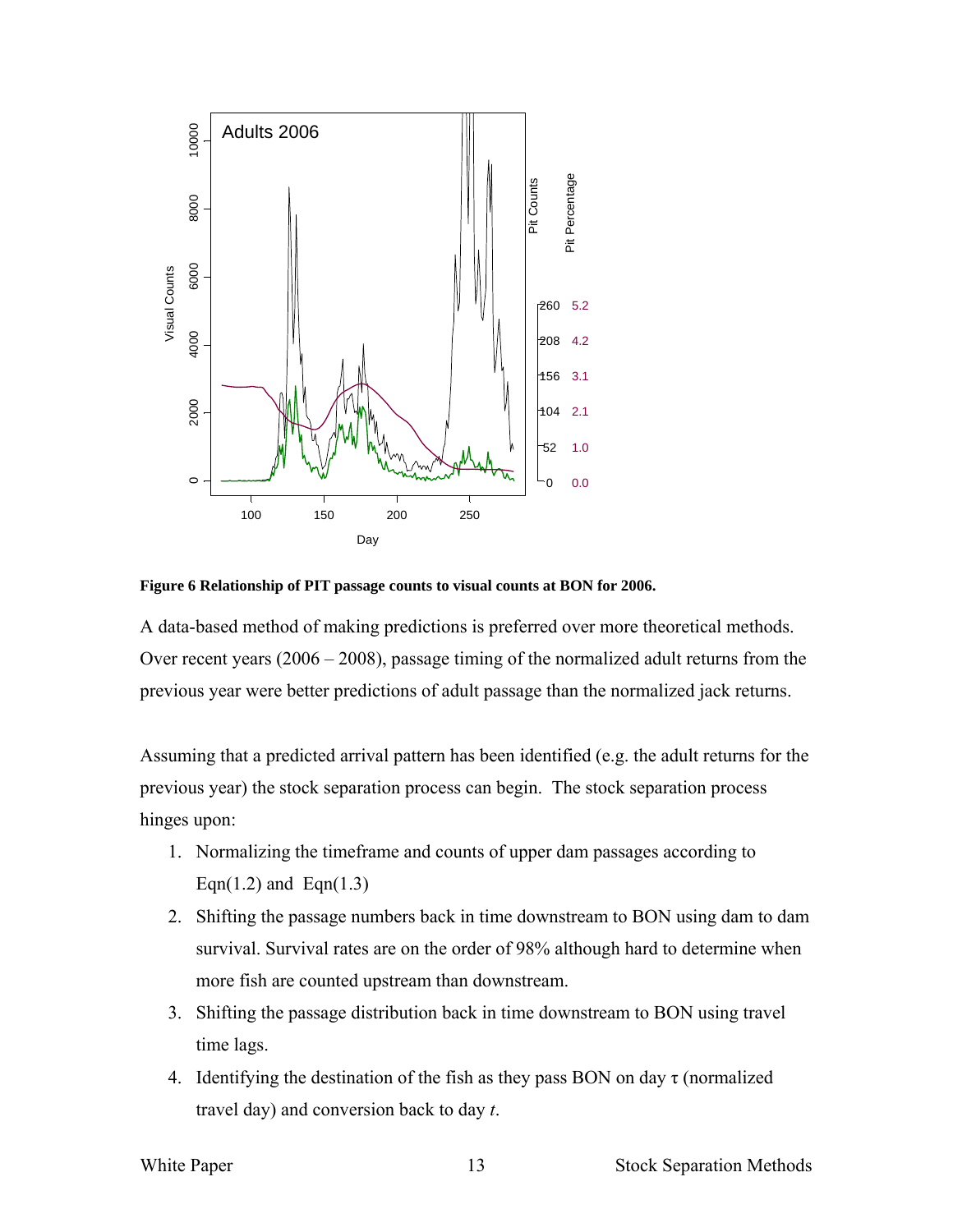

**Figure 6 Relationship of PIT passage counts to visual counts at BON for 2006.** 

A data-based method of making predictions is preferred over more theoretical methods. Over recent years (2006 – 2008), passage timing of the normalized adult returns from the previous year were better predictions of adult passage than the normalized jack returns.

Assuming that a predicted arrival pattern has been identified (e.g. the adult returns for the previous year) the stock separation process can begin. The stock separation process hinges upon:

- 1. Normalizing the timeframe and counts of upper dam passages according to Eqn(1.2) and Eqn(1.3)
- 2. Shifting the passage numbers back in time downstream to BON using dam to dam survival. Survival rates are on the order of 98% although hard to determine when more fish are counted upstream than downstream.
- 3. Shifting the passage distribution back in time downstream to BON using travel time lags.
- 4. Identifying the destination of the fish as they pass BON on day  $\tau$  (normalized travel day) and conversion back to day *t*.

White Paper 13 Stock Separation Methods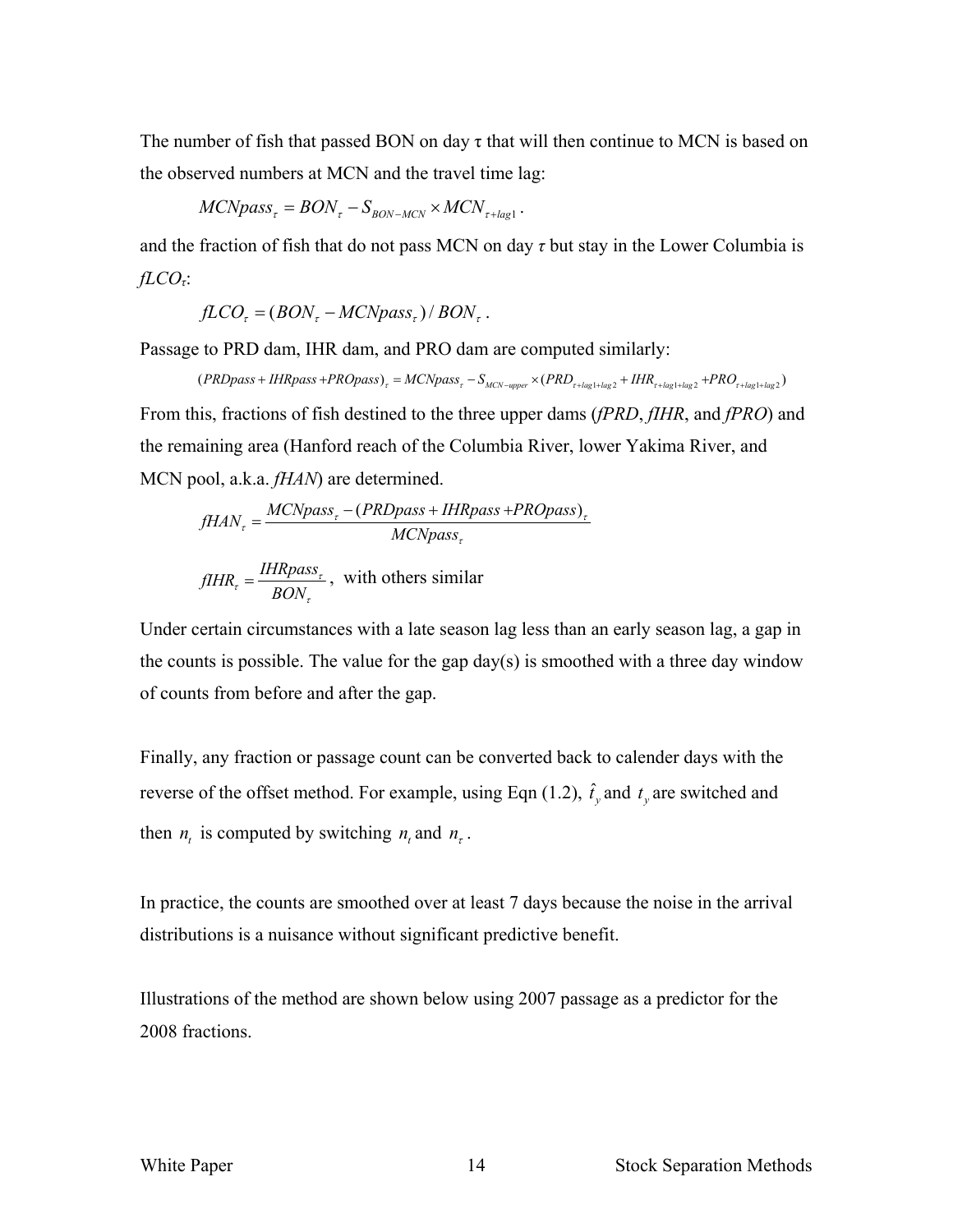The number of fish that passed BON on day  $\tau$  that will then continue to MCN is based on the observed numbers at MCN and the travel time lag:

$$
MCNpass_{\tau} = BON_{\tau} - S_{BON-MCN} \times MCN_{\tau+lag1}.
$$

and the fraction of fish that do not pass MCN on day *τ* but stay in the Lower Columbia is *fLCOτ*:

$$
fLCOr = (BONr - MCNpassr)/BONr.
$$

Passage to PRD dam, IHR dam, and PRO dam are computed similarly:

 $(PRDpass + IHRpass + PROpass_{\tau} = MCNpass_{\tau} - S_{MCN-upper} \times (PRD_{\tau+lag1+lag2} + IHR_{\tau+lag1+lag2} + PRO_{\tau+lag1+lag2})$ From this, fractions of fish destined to the three upper dams (*fPRD*, *fIHR*, and *fPRO*) and the remaining area (Hanford reach of the Columbia River, lower Yakima River, and MCN pool, a.k.a. *fHAN*) are determined.

$$
fHAN_{\tau} = \frac{MCNpass_{\tau} - (PRDpass + IHRpass + PROpass)_{\tau}}{MCNpass_{\tau}}
$$

$$
fIHR_r = \frac{IHRpass_r}{BON_r}
$$
, with others similar

Under certain circumstances with a late season lag less than an early season lag, a gap in the counts is possible. The value for the gap day(s) is smoothed with a three day window of counts from before and after the gap.

Finally, any fraction or passage count can be converted back to calender days with the reverse of the offset method. For example, using Eqn (1.2),  $\hat{t}_y$  and  $t_y$  are switched and then  $n_t$  is computed by switching  $n_t$  and  $n_t$ .

In practice, the counts are smoothed over at least 7 days because the noise in the arrival distributions is a nuisance without significant predictive benefit.

Illustrations of the method are shown below using 2007 passage as a predictor for the 2008 fractions.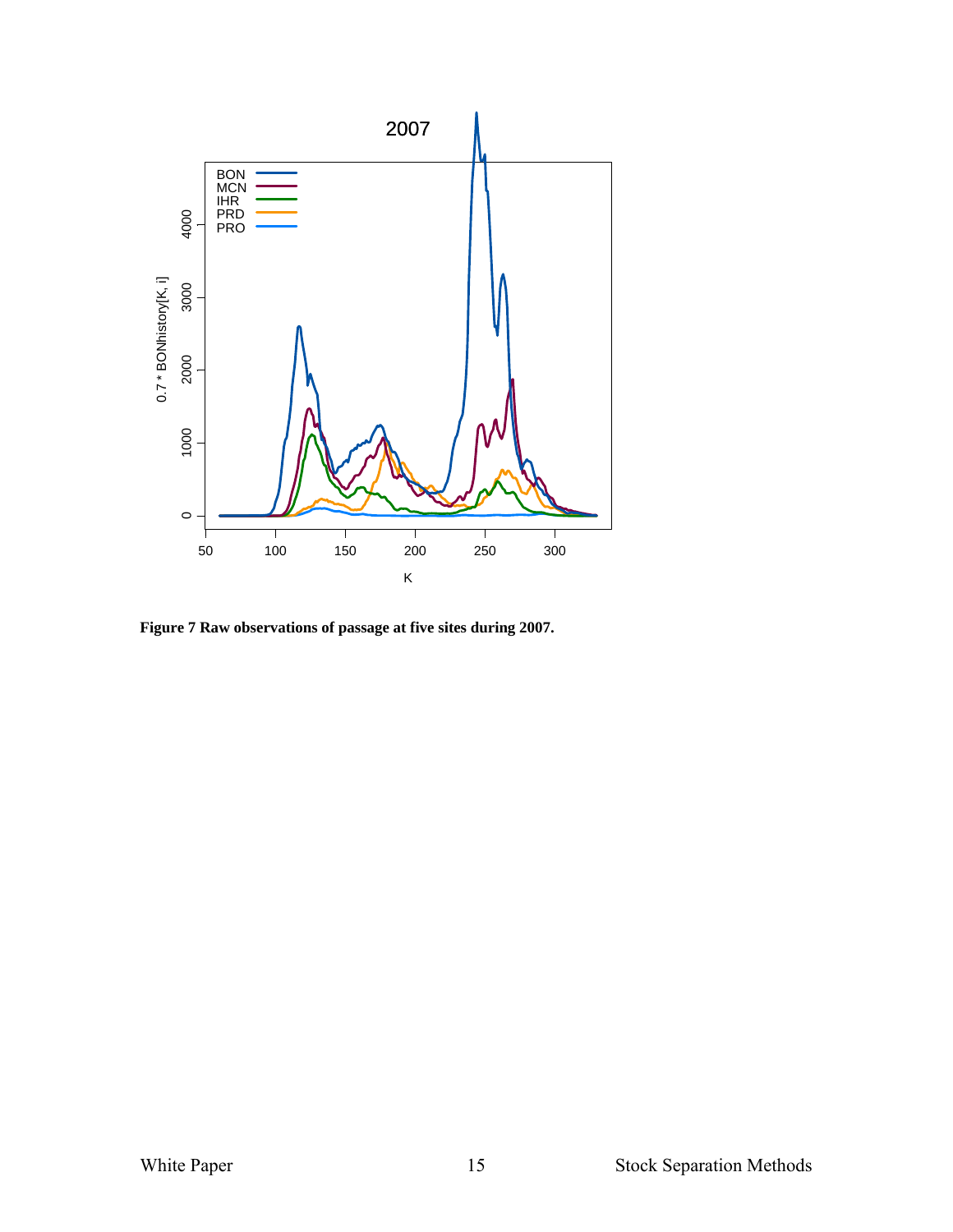

**Figure 7 Raw observations of passage at five sites during 2007.**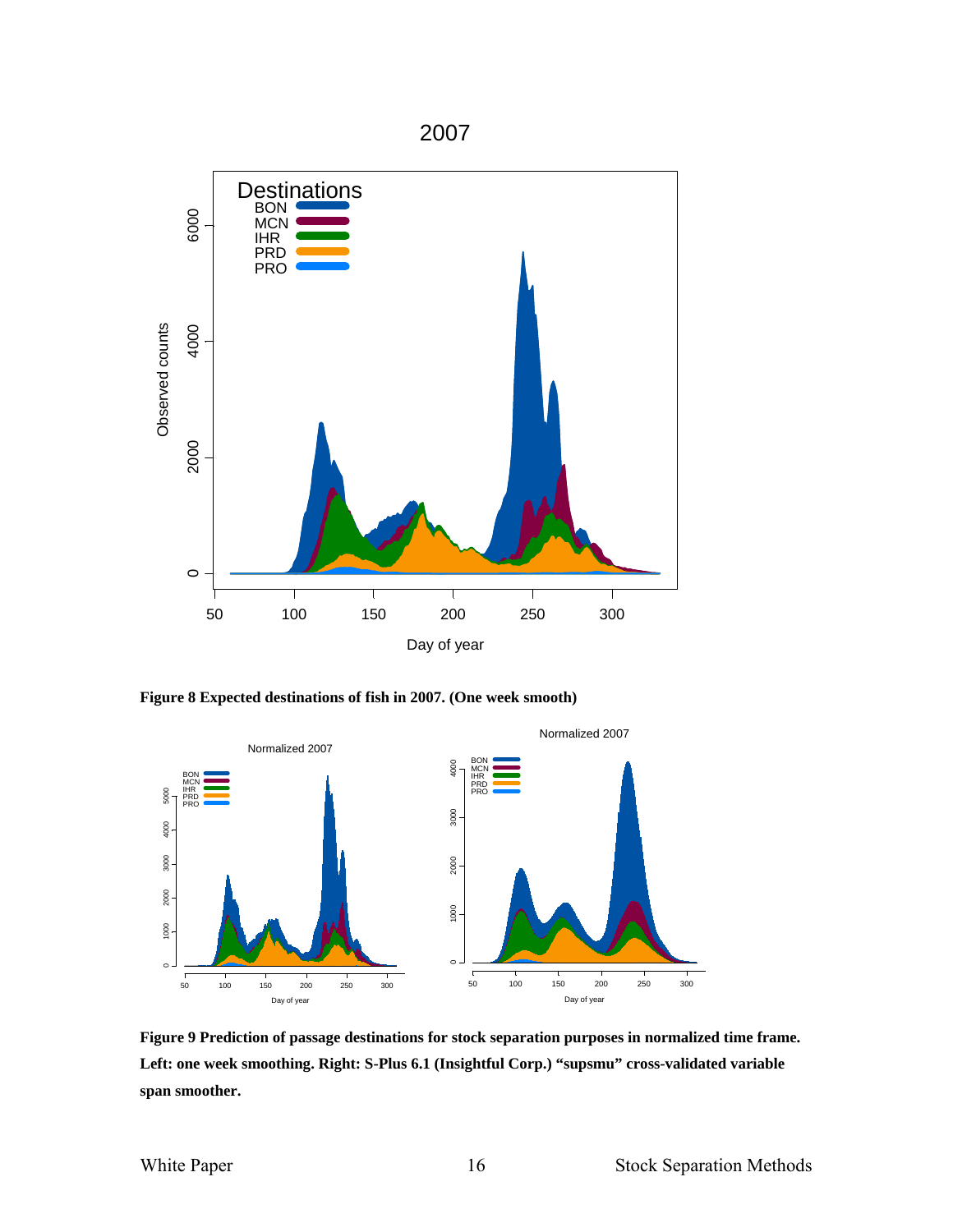

**Figure 8 Expected destinations of fish in 2007. (One week smooth)** 



**Figure 9 Prediction of passage destinations for stock separation purposes in normalized time frame. Left: one week smoothing. Right: S-Plus 6.1 (Insightful Corp.) "supsmu" cross-validated variable span smoother.**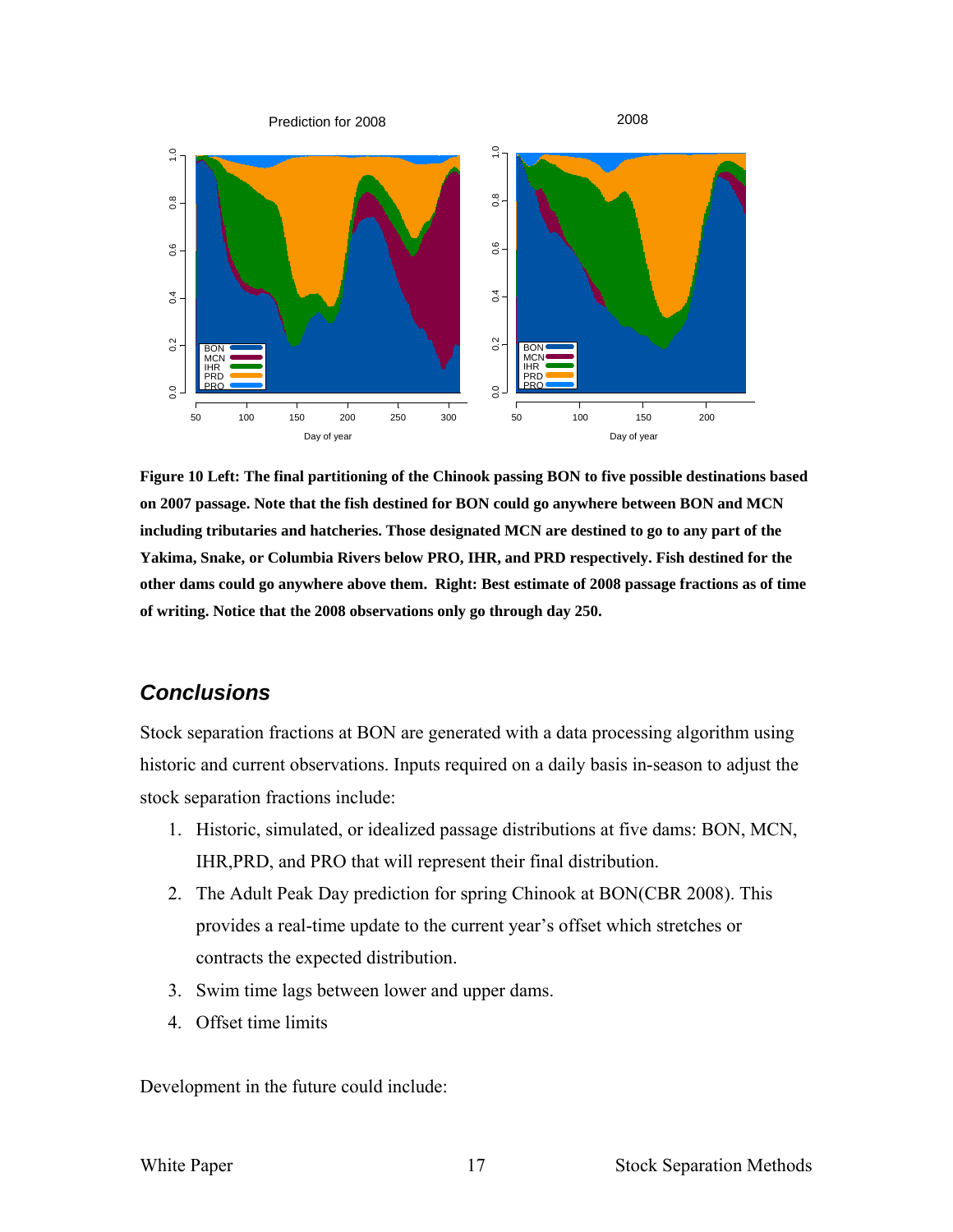

**Figure 10 Left: The final partitioning of the Chinook passing BON to five possible destinations based on 2007 passage. Note that the fish destined for BON could go anywhere between BON and MCN including tributaries and hatcheries. Those designated MCN are destined to go to any part of the Yakima, Snake, or Columbia Rivers below PRO, IHR, and PRD respectively. Fish destined for the other dams could go anywhere above them. Right: Best estimate of 2008 passage fractions as of time of writing. Notice that the 2008 observations only go through day 250.** 

## *Conclusions*

Stock separation fractions at BON are generated with a data processing algorithm using historic and current observations. Inputs required on a daily basis in-season to adjust the stock separation fractions include:

- 1. Historic, simulated, or idealized passage distributions at five dams: BON, MCN, IHR,PRD, and PRO that will represent their final distribution.
- 2. The Adult Peak Day prediction for spring Chinook at BON(CBR 2008). This provides a real-time update to the current year's offset which stretches or contracts the expected distribution.
- 3. Swim time lags between lower and upper dams.
- 4. Offset time limits

Development in the future could include: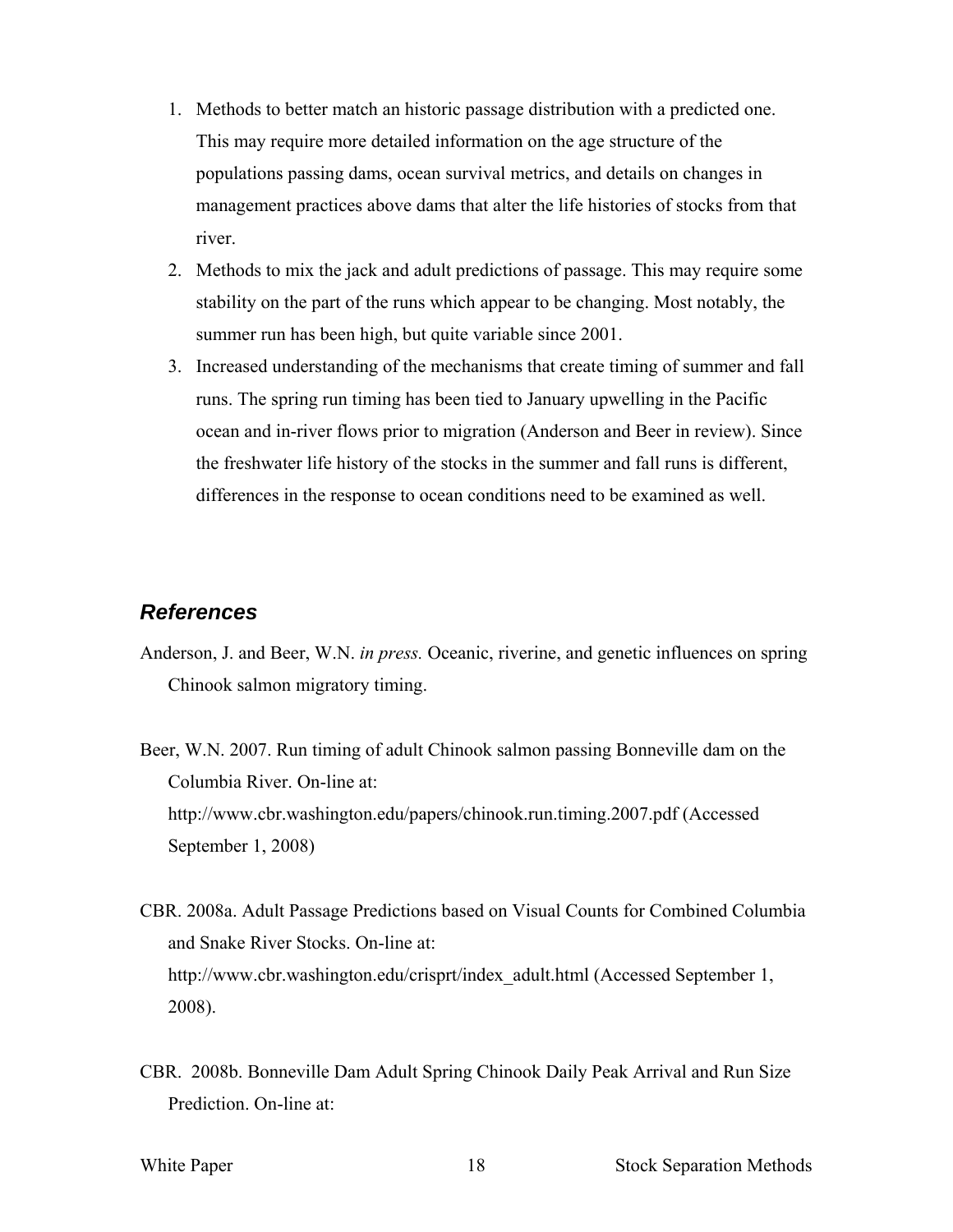- 1. Methods to better match an historic passage distribution with a predicted one. This may require more detailed information on the age structure of the populations passing dams, ocean survival metrics, and details on changes in management practices above dams that alter the life histories of stocks from that river.
- 2. Methods to mix the jack and adult predictions of passage. This may require some stability on the part of the runs which appear to be changing. Most notably, the summer run has been high, but quite variable since 2001.
- 3. Increased understanding of the mechanisms that create timing of summer and fall runs. The spring run timing has been tied to January upwelling in the Pacific ocean and in-river flows prior to migration (Anderson and Beer in review). Since the freshwater life history of the stocks in the summer and fall runs is different, differences in the response to ocean conditions need to be examined as well.

#### *References*

- Anderson, J. and Beer, W.N. *in press.* Oceanic, riverine, and genetic influences on spring Chinook salmon migratory timing.
- Beer, W.N. 2007. Run timing of adult Chinook salmon passing Bonneville dam on the Columbia River. On-line at: http://www.cbr.washington.edu/papers/chinook.run.timing.2007.pdf (Accessed September 1, 2008)
- CBR. 2008a. Adult Passage Predictions based on Visual Counts for Combined Columbia and Snake River Stocks. On-line at: http://www.cbr.washington.edu/crisprt/index\_adult.html (Accessed September 1, 2008).
- CBR. 2008b. Bonneville Dam Adult Spring Chinook Daily Peak Arrival and Run Size Prediction. On-line at:

White Paper Theorem 2018 18 Stock Separation Methods